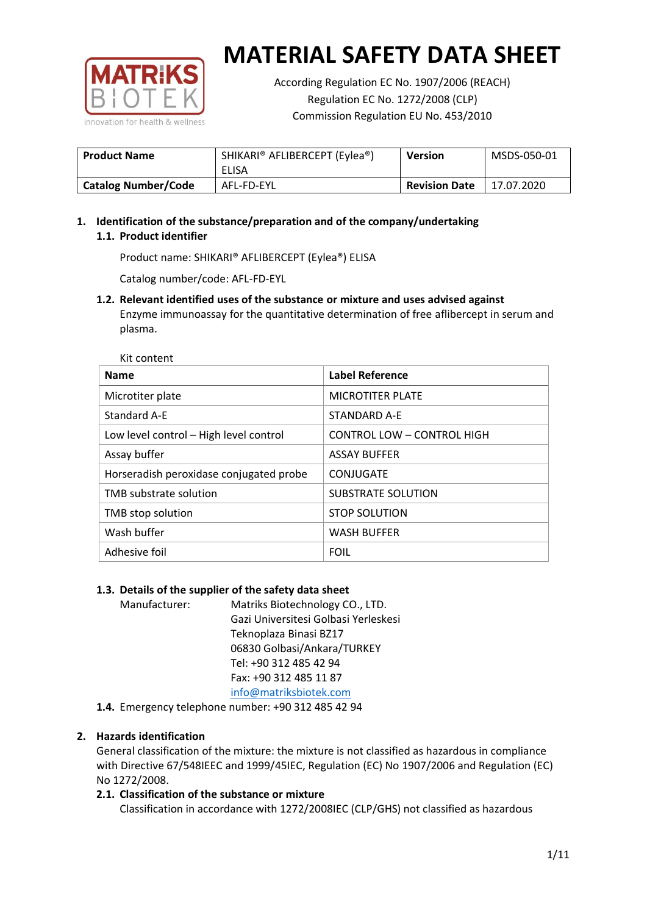

Kit content

# **MATERIAL SAFETY DATA SHEET**

According Regulation EC No. 1907/2006 (REACH) Regulation EC No. 1272/2008 (CLP) Commission Regulation EU No. 453/2010

| <b>Product Name</b>        | SHIKARI® AFLIBERCEPT (Eylea®)<br><b>Version</b> |                      | MSDS-050-01 |
|----------------------------|-------------------------------------------------|----------------------|-------------|
|                            | ELISA                                           |                      |             |
| <b>Catalog Number/Code</b> | AFL-FD-EYL                                      | <b>Revision Date</b> | 17.07.2020  |

# **1. Identification of the substance/preparation and of the company/undertaking 1.1. Product identifier**

Product name: SHIKARI® AFLIBERCEPT (Eylea®) ELISA

Catalog number/code: AFL-FD-EYL

# **1.2. Relevant identified uses of the substance or mixture and uses advised against**

Enzyme immunoassay for the quantitative determination of free aflibercept in serum and plasma.

| <b>Name</b>                             | <b>Label Reference</b>     |
|-----------------------------------------|----------------------------|
| Microtiter plate                        | <b>MICROTITER PLATE</b>    |
| Standard A-E                            | <b>STANDARD A-F</b>        |
| Low level control - High level control  | CONTROL LOW - CONTROL HIGH |
| Assay buffer                            | <b>ASSAY BUFFER</b>        |
| Horseradish peroxidase conjugated probe | CONJUGATE                  |
| TMB substrate solution                  | <b>SUBSTRATE SOLUTION</b>  |
| TMB stop solution                       | <b>STOP SOLUTION</b>       |
| Wash buffer                             | <b>WASH BUFFER</b>         |
| Adhesive foil                           | <b>FOIL</b>                |

# **1.3. Details of the supplier of the safety data sheet**

Manufacturer: Matriks Biotechnology CO., LTD. Gazi Universitesi Golbasi Yerleskesi Teknoplaza Binasi BZ17 06830 Golbasi/Ankara/TURKEY Tel: +90 312 485 42 94 Fax: +90 312 485 11 87 [info@matriksbiotek.com](mailto:info@matriksbiotek.com)

**1.4.** Emergency telephone number: +90 312 485 42 94

# **2. Hazards identification**

General classification of the mixture: the mixture is not classified as hazardous in compliance with Directive 67/548IEEC and 1999/45IEC, Regulation (EC) No 1907/2006 and Regulation (EC) No 1272/2008.

# **2.1. Classification of the substance or mixture**

Classification in accordance with 1272/2008IEC (CLP/GHS) not classified as hazardous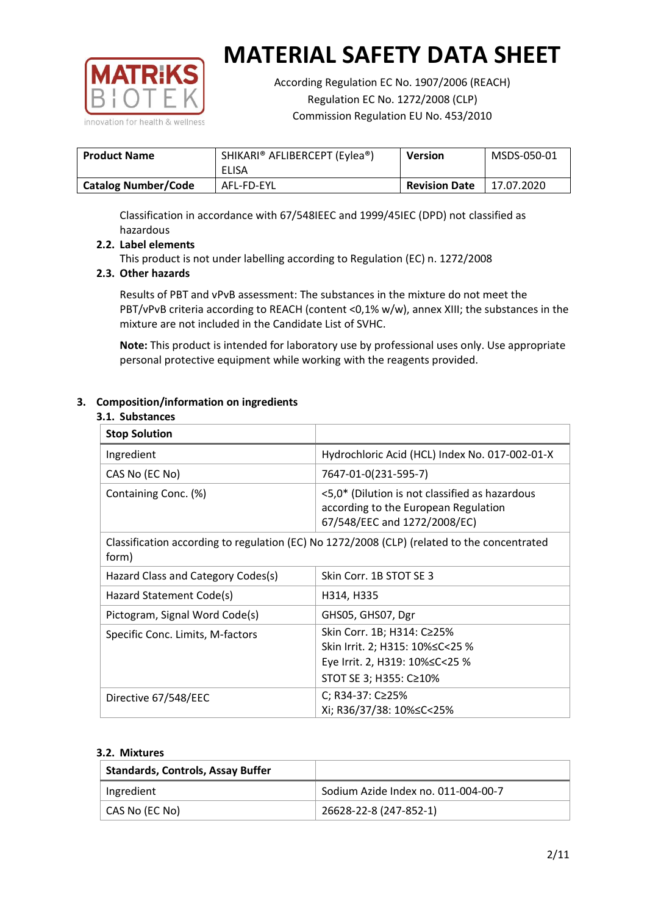

According Regulation EC No. 1907/2006 (REACH) Regulation EC No. 1272/2008 (CLP) Commission Regulation EU No. 453/2010

| <b>Product Name</b>        | SHIKARI® AFLIBERCEPT (Eylea®)<br>ELISA | <b>Version</b>       | MSDS-050-01 |
|----------------------------|----------------------------------------|----------------------|-------------|
| <b>Catalog Number/Code</b> | AFL-FD-EYL                             | <b>Revision Date</b> | 17.07.2020  |

Classification in accordance with 67/548IEEC and 1999/45IEC (DPD) not classified as hazardous

# **2.2. Label elements**

This product is not under labelling according to Regulation (EC) n. 1272/2008

## **2.3. Other hazards**

Results of PBT and vPvB assessment: The substances in the mixture do not meet the PBT/vPvB criteria according to REACH (content <0,1% w/w), annex XIII; the substances in the mixture are not included in the Candidate List of SVHC.

**Note:** This product is intended for laboratory use by professional uses only. Use appropriate personal protective equipment while working with the reagents provided.

## **3. Composition/information on ingredients**

#### **3.1. Substances**

| <b>Stop Solution</b>               |                                                                                                                           |
|------------------------------------|---------------------------------------------------------------------------------------------------------------------------|
| Ingredient                         | Hydrochloric Acid (HCL) Index No. 017-002-01-X                                                                            |
| CAS No (EC No)                     | 7647-01-0(231-595-7)                                                                                                      |
| Containing Conc. (%)               | <5,0* (Dilution is not classified as hazardous<br>according to the European Regulation<br>67/548/EEC and 1272/2008/EC)    |
| form)                              | Classification according to regulation (EC) No 1272/2008 (CLP) (related to the concentrated                               |
| Hazard Class and Category Codes(s) | Skin Corr. 1B STOT SE 3                                                                                                   |
| Hazard Statement Code(s)           | H314, H335                                                                                                                |
| Pictogram, Signal Word Code(s)     | GHS05, GHS07, Dgr                                                                                                         |
| Specific Conc. Limits, M-factors   | Skin Corr. 1B; H314: C≥25%<br>Skin Irrit. 2; H315: 10%≤C<25 %<br>Eye Irrit. 2, H319: 10%≤C<25 %<br>STOT SE 3; H355: C≥10% |
| Directive 67/548/EEC               | C; R34-37: C≥25%<br>Xi; R36/37/38: 10%≤C<25%                                                                              |

#### **3.2. Mixtures**

| <b>Standards, Controls, Assay Buffer</b> |                                     |
|------------------------------------------|-------------------------------------|
| Ingredient                               | Sodium Azide Index no. 011-004-00-7 |
| CAS No (EC No)                           | 26628-22-8 (247-852-1)              |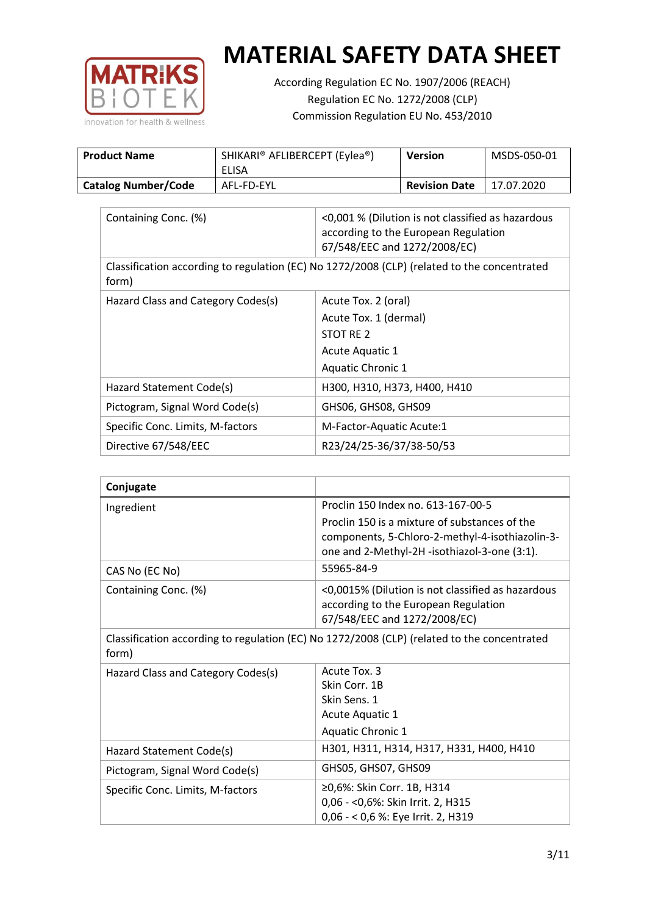

According Regulation EC No. 1907/2006 (REACH) Regulation EC No. 1272/2008 (CLP) Commission Regulation EU No. 453/2010

| <b>Product Name</b>        | SHIKARI® AFLIBERCEPT (Eylea®)<br>ELISA | <b>Version</b>       | MSDS-050-01 |
|----------------------------|----------------------------------------|----------------------|-------------|
| <b>Catalog Number/Code</b> | AFL-FD-EYL                             | <b>Revision Date</b> | 17.07.2020  |

| Containing Conc. (%)               | <0,001 % (Dilution is not classified as hazardous<br>according to the European Regulation<br>67/548/EEC and 1272/2008/EC) |
|------------------------------------|---------------------------------------------------------------------------------------------------------------------------|
| form)                              | Classification according to regulation (EC) No 1272/2008 (CLP) (related to the concentrated                               |
| Hazard Class and Category Codes(s) | Acute Tox. 2 (oral)                                                                                                       |
|                                    | Acute Tox. 1 (dermal)                                                                                                     |
|                                    | STOT RE 2                                                                                                                 |
|                                    | Acute Aquatic 1                                                                                                           |
|                                    | Aquatic Chronic 1                                                                                                         |
| Hazard Statement Code(s)           | H300, H310, H373, H400, H410                                                                                              |
| Pictogram, Signal Word Code(s)     | GHS06, GHS08, GHS09                                                                                                       |
| Specific Conc. Limits, M-factors   | M-Factor-Aquatic Acute:1                                                                                                  |
| Directive 67/548/EEC               | R23/24/25-36/37/38-50/53                                                                                                  |

| Conjugate                                                                                            |                                                                                                                                                  |  |
|------------------------------------------------------------------------------------------------------|--------------------------------------------------------------------------------------------------------------------------------------------------|--|
| Ingredient                                                                                           | Proclin 150 Index no. 613-167-00-5                                                                                                               |  |
|                                                                                                      | Proclin 150 is a mixture of substances of the<br>components, 5-Chloro-2-methyl-4-isothiazolin-3-<br>one and 2-Methyl-2H -isothiazol-3-one (3:1). |  |
| CAS No (EC No)                                                                                       | 55965-84-9                                                                                                                                       |  |
| Containing Conc. (%)                                                                                 | <0,0015% (Dilution is not classified as hazardous<br>according to the European Regulation<br>67/548/EEC and 1272/2008/EC)                        |  |
| Classification according to regulation (EC) No 1272/2008 (CLP) (related to the concentrated<br>form) |                                                                                                                                                  |  |
| Hazard Class and Category Codes(s)                                                                   | Acute Tox. 3                                                                                                                                     |  |
|                                                                                                      | Skin Corr. 1B                                                                                                                                    |  |
|                                                                                                      | Skin Sens. 1                                                                                                                                     |  |
|                                                                                                      | Acute Aquatic 1                                                                                                                                  |  |
|                                                                                                      | Aquatic Chronic 1                                                                                                                                |  |
| Hazard Statement Code(s)                                                                             | H301, H311, H314, H317, H331, H400, H410                                                                                                         |  |
| Pictogram, Signal Word Code(s)                                                                       | GHS05, GHS07, GHS09                                                                                                                              |  |
| Specific Conc. Limits, M-factors                                                                     | ≥0,6%: Skin Corr. 1B, H314                                                                                                                       |  |
|                                                                                                      | 0,06 - < 0,6%: Skin Irrit. 2, H315                                                                                                               |  |
|                                                                                                      | 0,06 - < 0,6 %: Eye Irrit. 2, H319                                                                                                               |  |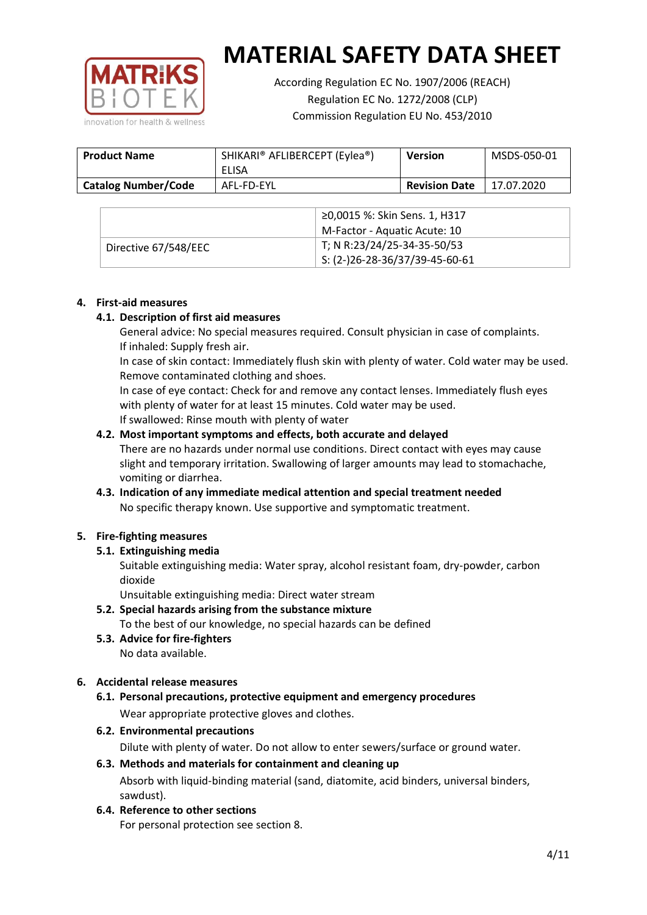

According Regulation EC No. 1907/2006 (REACH) Regulation EC No. 1272/2008 (CLP) Commission Regulation EU No. 453/2010

| <b>Product Name</b>        | SHIKARI® AFLIBERCEPT (Eylea®)<br>ELISA | <b>Version</b>       | MSDS-050-01 |
|----------------------------|----------------------------------------|----------------------|-------------|
| <b>Catalog Number/Code</b> | AFL-FD-EYL                             | <b>Revision Date</b> | 17.07.2020  |

|                      | ≥0,0015 %: Skin Sens. 1, H317                |
|----------------------|----------------------------------------------|
|                      | M-Factor - Aquatic Acute: 10                 |
| Directive 67/548/EEC | T; N R:23/24/25-34-35-50/53                  |
|                      | $\frac{1}{1}$ S: (2-)26-28-36/37/39-45-60-61 |

## **4. First-aid measures**

## **4.1. Description of first aid measures**

General advice: No special measures required. Consult physician in case of complaints. If inhaled: Supply fresh air.

In case of skin contact: Immediately flush skin with plenty of water. Cold water may be used. Remove contaminated clothing and shoes.

In case of eye contact: Check for and remove any contact lenses. Immediately flush eyes with plenty of water for at least 15 minutes. Cold water may be used. If swallowed: Rinse mouth with plenty of water

## **4.2. Most important symptoms and effects, both accurate and delayed**

There are no hazards under normal use conditions. Direct contact with eyes may cause slight and temporary irritation. Swallowing of larger amounts may lead to stomachache, vomiting or diarrhea.

# **4.3. Indication of any immediate medical attention and special treatment needed** No specific therapy known. Use supportive and symptomatic treatment.

# **5. Fire-fighting measures**

# **5.1. Extinguishing media**

Suitable extinguishing media: Water spray, alcohol resistant foam, dry-powder, carbon dioxide

Unsuitable extinguishing media: Direct water stream

- **5.2. Special hazards arising from the substance mixture** To the best of our knowledge, no special hazards can be defined
- **5.3. Advice for fire-fighters** No data available.

# **6. Accidental release measures**

- **6.1. Personal precautions, protective equipment and emergency procedures** Wear appropriate protective gloves and clothes.
- **6.2. Environmental precautions**

Dilute with plenty of water. Do not allow to enter sewers/surface or ground water.

## **6.3. Methods and materials for containment and cleaning up** Absorb with liquid-binding material (sand, diatomite, acid binders, universal binders, sawdust).

**6.4. Reference to other sections**

For personal protection see section 8.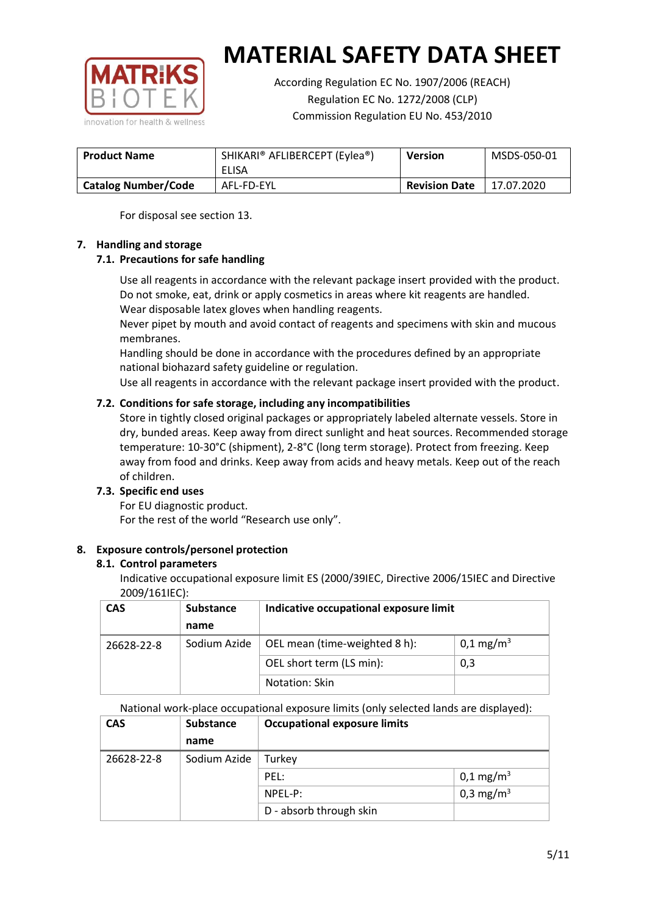

According Regulation EC No. 1907/2006 (REACH) Regulation EC No. 1272/2008 (CLP) Commission Regulation EU No. 453/2010

| <b>Product Name</b>        | SHIKARI® AFLIBERCEPT (Eylea®) | <b>Version</b>       | MSDS-050-01 |
|----------------------------|-------------------------------|----------------------|-------------|
|                            | ELISA                         |                      |             |
| <b>Catalog Number/Code</b> | AFL-FD-EYL                    | <b>Revision Date</b> | 17.07.2020  |

For disposal see section 13.

# **7. Handling and storage**

# **7.1. Precautions for safe handling**

Use all reagents in accordance with the relevant package insert provided with the product. Do not smoke, eat, drink or apply cosmetics in areas where kit reagents are handled. Wear disposable latex gloves when handling reagents.

Never pipet by mouth and avoid contact of reagents and specimens with skin and mucous membranes.

Handling should be done in accordance with the procedures defined by an appropriate national biohazard safety guideline or regulation.

Use all reagents in accordance with the relevant package insert provided with the product.

# **7.2. Conditions for safe storage, including any incompatibilities**

Store in tightly closed original packages or appropriately labeled alternate vessels. Store in dry, bunded areas. Keep away from direct sunlight and heat sources. Recommended storage temperature: 10-30°C (shipment), 2-8°C (long term storage). Protect from freezing. Keep away from food and drinks. Keep away from acids and heavy metals. Keep out of the reach of children.

#### **7.3. Specific end uses**

For EU diagnostic product. For the rest of the world "Research use only".

# **8. Exposure controls/personel protection**

#### **8.1. Control parameters**

Indicative occupational exposure limit ES (2000/39IEC, Directive 2006/15IEC and Directive 2009/161IEC):

| <b>CAS</b> | <b>Substance</b> | Indicative occupational exposure limit |                       |
|------------|------------------|----------------------------------------|-----------------------|
|            | name             |                                        |                       |
| 26628-22-8 | Sodium Azide     | OEL mean (time-weighted 8 h):          | 0,1 mg/m <sup>3</sup> |
|            |                  | OEL short term (LS min):               | 0,3                   |
|            | Notation: Skin   |                                        |                       |

National work-place occupational exposure limits (only selected lands are displayed):

| <b>CAS</b> | <b>Substance</b> | <b>Occupational exposure limits</b> |                         |  |
|------------|------------------|-------------------------------------|-------------------------|--|
|            | name             |                                     |                         |  |
| 26628-22-8 | Sodium Azide     | Turkey                              |                         |  |
|            |                  | PEL:                                | $0,1 \,\mathrm{mg/m^3}$ |  |
|            |                  | NPEL-P:                             | 0,3 mg/m <sup>3</sup>   |  |
|            |                  | D - absorb through skin             |                         |  |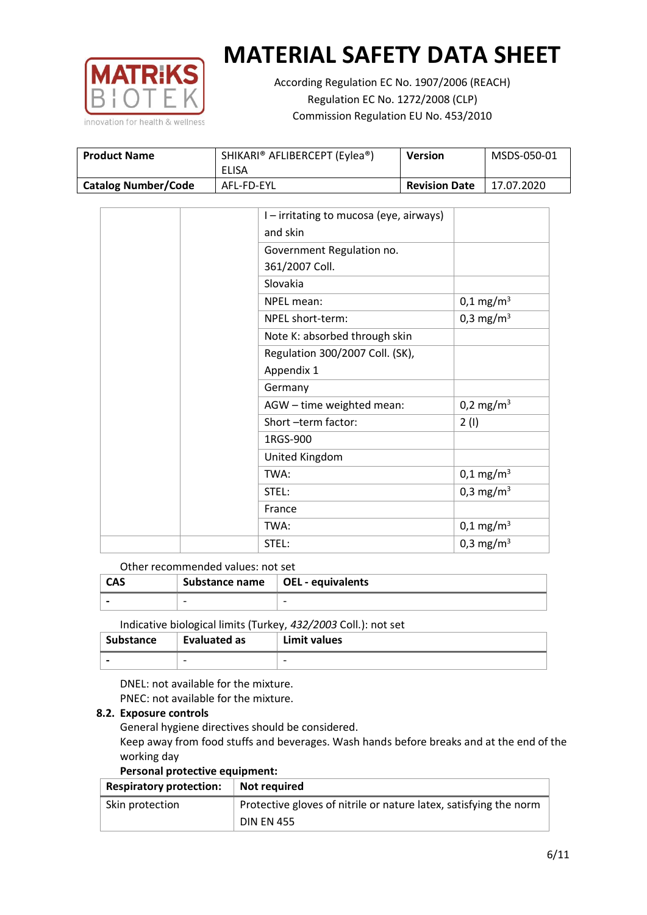

According Regulation EC No. 1907/2006 (REACH) Regulation EC No. 1272/2008 (CLP) Commission Regulation EU No. 453/2010

| <b>Product Name</b>        | SHIKARI® AFLIBERCEPT (Eylea®)<br>ELISA | Version              | MSDS-050-01 |
|----------------------------|----------------------------------------|----------------------|-------------|
| <b>Catalog Number/Code</b> | AFL-FD-EYL                             | <b>Revision Date</b> | 17.07.2020  |

|  | I - irritating to mucosa (eye, airways) |                         |
|--|-----------------------------------------|-------------------------|
|  | and skin                                |                         |
|  | Government Regulation no.               |                         |
|  | 361/2007 Coll.                          |                         |
|  | Slovakia                                |                         |
|  | NPEL mean:                              | $0,1 \text{ mg/m}^3$    |
|  | NPEL short-term:                        | 0,3 mg/m <sup>3</sup>   |
|  | Note K: absorbed through skin           |                         |
|  | Regulation 300/2007 Coll. (SK),         |                         |
|  | Appendix 1                              |                         |
|  | Germany                                 |                         |
|  | AGW - time weighted mean:               | 0,2 mg/m <sup>3</sup>   |
|  | Short-term factor:                      | 2(1)                    |
|  | 1RGS-900                                |                         |
|  | United Kingdom                          |                         |
|  | TWA:                                    | $0,1 \,\mathrm{mg/m^3}$ |
|  | STEL:                                   | 0,3 mg/m <sup>3</sup>   |
|  | France                                  |                         |
|  | TWA:                                    | $0,1 \,\mathrm{mg/m^3}$ |
|  | STEL:                                   | 0,3 mg/m <sup>3</sup>   |

#### Other recommended values: not set

| CAS | Substance name $\vert$ OEL - equivalents |   |
|-----|------------------------------------------|---|
|     | $\overline{\phantom{0}}$                 | - |
|     |                                          |   |

Indicative biological limits (Turkey, *432/2003* Coll.): not set

| <b>Substance</b>         | <b>Evaluated as</b>      | Limit values |
|--------------------------|--------------------------|--------------|
| $\overline{\phantom{0}}$ | $\overline{\phantom{0}}$ | -            |

DNEL: not available for the mixture. PNEC: not available for the mixture.

# **8.2. Exposure controls**

General hygiene directives should be considered.

Keep away from food stuffs and beverages. Wash hands before breaks and at the end of the working day

#### **Personal protective equipment:**

| <b>Respiratory protection:</b> | Not required                                                      |
|--------------------------------|-------------------------------------------------------------------|
| Skin protection                | Protective gloves of nitrile or nature latex, satisfying the norm |
|                                | <b>DIN EN 455</b>                                                 |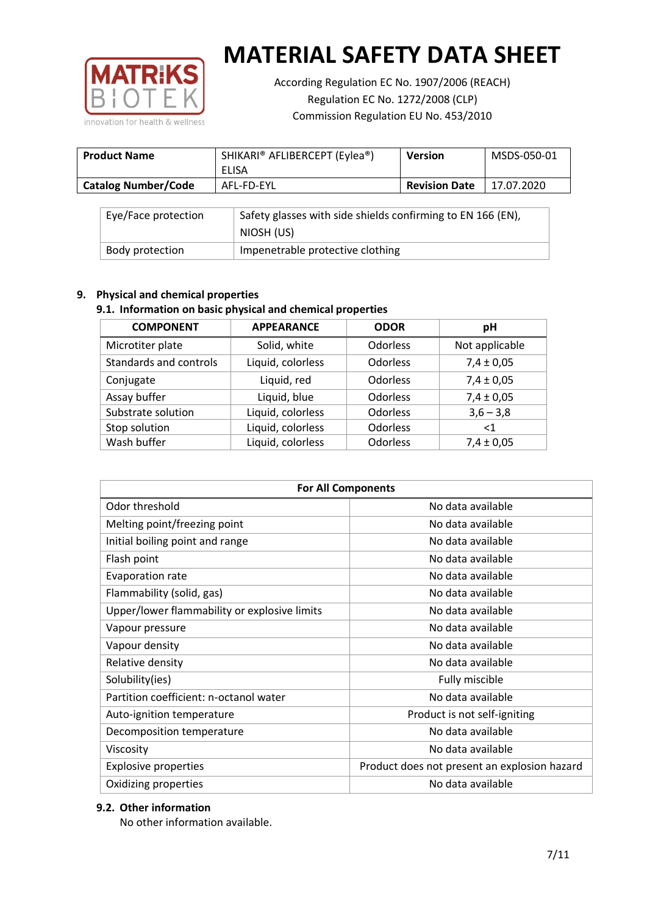

According Regulation EC No. 1907/2006 (REACH) Regulation EC No. 1272/2008 (CLP) Commission Regulation EU No. 453/2010

| <b>Product Name</b>        | SHIKARI® AFLIBERCEPT (Eylea®) | <b>Version</b>       | MSDS-050-01 |
|----------------------------|-------------------------------|----------------------|-------------|
|                            | ELISA                         |                      |             |
| <b>Catalog Number/Code</b> | AFL-FD-EYL                    | <b>Revision Date</b> | 17.07.2020  |

| Eye/Face protection | Safety glasses with side shields confirming to EN 166 (EN),<br>NIOSH (US) |
|---------------------|---------------------------------------------------------------------------|
| Body protection     | Impenetrable protective clothing                                          |

# **9. Physical and chemical properties**

# **9.1. Information on basic physical and chemical properties**

| <b>COMPONENT</b>       | <b>APPEARANCE</b> | <b>ODOR</b>     | рH             |
|------------------------|-------------------|-----------------|----------------|
| Microtiter plate       | Solid, white      | Odorless        | Not applicable |
| Standards and controls | Liquid, colorless | Odorless        | $7,4 \pm 0,05$ |
| Conjugate              | Liquid, red       | <b>Odorless</b> | $7,4 \pm 0,05$ |
| Assay buffer           | Liquid, blue      | <b>Odorless</b> | $7,4 \pm 0,05$ |
| Substrate solution     | Liquid, colorless | Odorless        | $3,6 - 3,8$    |
| Stop solution          | Liquid, colorless | Odorless        | ${<}1$         |
| Wash buffer            | Liquid, colorless | Odorless        | $7,4 \pm 0,05$ |

| <b>For All Components</b>                    |                                              |  |  |
|----------------------------------------------|----------------------------------------------|--|--|
| Odor threshold                               | No data available                            |  |  |
| Melting point/freezing point                 | No data available                            |  |  |
| Initial boiling point and range              | No data available                            |  |  |
| Flash point                                  | No data available                            |  |  |
| Evaporation rate                             | No data available                            |  |  |
| Flammability (solid, gas)                    | No data available                            |  |  |
| Upper/lower flammability or explosive limits | No data available                            |  |  |
| Vapour pressure                              | No data available                            |  |  |
| Vapour density                               | No data available                            |  |  |
| Relative density                             | No data available                            |  |  |
| Solubility(ies)                              | Fully miscible                               |  |  |
| Partition coefficient: n-octanol water       | No data available                            |  |  |
| Auto-ignition temperature                    | Product is not self-igniting                 |  |  |
| Decomposition temperature                    | No data available                            |  |  |
| Viscosity                                    | No data available                            |  |  |
| <b>Explosive properties</b>                  | Product does not present an explosion hazard |  |  |
| Oxidizing properties                         | No data available                            |  |  |

# **9.2. Other information**

No other information available.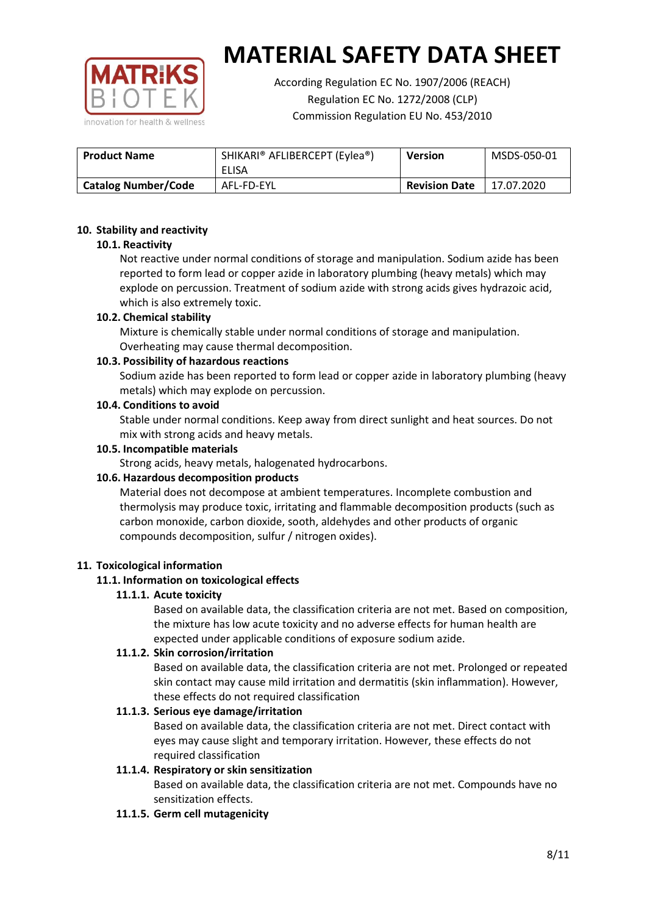

According Regulation EC No. 1907/2006 (REACH) Regulation EC No. 1272/2008 (CLP) Commission Regulation EU No. 453/2010

| <b>Product Name</b>        | SHIKARI® AFLIBERCEPT (Eylea®) | <b>Version</b>       | MSDS-050-01 |
|----------------------------|-------------------------------|----------------------|-------------|
|                            | ELISA                         |                      |             |
| <b>Catalog Number/Code</b> | AFL-FD-EYL                    | <b>Revision Date</b> | 17.07.2020  |

## **10. Stability and reactivity**

## **10.1. Reactivity**

Not reactive under normal conditions of storage and manipulation. Sodium azide has been reported to form lead or copper azide in laboratory plumbing (heavy metals) which may explode on percussion. Treatment of sodium azide with strong acids gives hydrazoic acid, which is also extremely toxic.

## **10.2. Chemical stability**

Mixture is chemically stable under normal conditions of storage and manipulation. Overheating may cause thermal decomposition.

## **10.3. Possibility of hazardous reactions**

Sodium azide has been reported to form lead or copper azide in laboratory plumbing (heavy metals) which may explode on percussion.

#### **10.4. Conditions to avoid**

Stable under normal conditions. Keep away from direct sunlight and heat sources. Do not mix with strong acids and heavy metals.

#### **10.5. Incompatible materials**

Strong acids, heavy metals, halogenated hydrocarbons.

# **10.6. Hazardous decomposition products**

Material does not decompose at ambient temperatures. Incomplete combustion and thermolysis may produce toxic, irritating and flammable decomposition products (such as carbon monoxide, carbon dioxide, sooth, aldehydes and other products of organic compounds decomposition, sulfur / nitrogen oxides).

#### **11. Toxicological information**

# **11.1. Information on toxicological effects**

#### **11.1.1. Acute toxicity**

Based on available data, the classification criteria are not met. Based on composition, the mixture has low acute toxicity and no adverse effects for human health are expected under applicable conditions of exposure sodium azide.

# **11.1.2. Skin corrosion/irritation**

Based on available data, the classification criteria are not met. Prolonged or repeated skin contact may cause mild irritation and dermatitis (skin inflammation). However, these effects do not required classification

# **11.1.3. Serious eye damage/irritation**

Based on available data, the classification criteria are not met. Direct contact with eyes may cause slight and temporary irritation. However, these effects do not required classification

# **11.1.4. Respiratory or skin sensitization**

Based on available data, the classification criteria are not met. Compounds have no sensitization effects.

#### **11.1.5. Germ cell mutagenicity**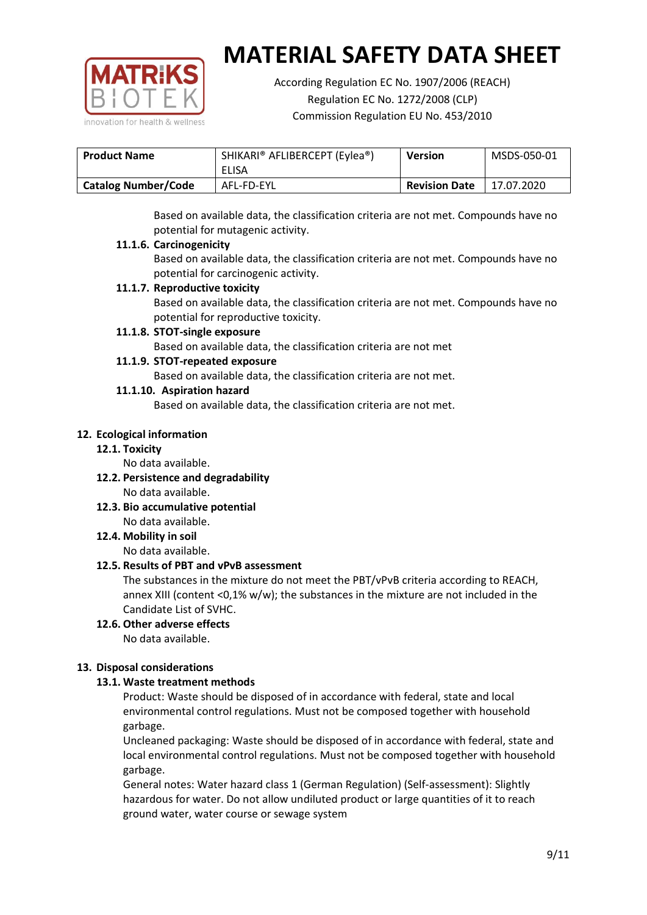

According Regulation EC No. 1907/2006 (REACH) Regulation EC No. 1272/2008 (CLP) Commission Regulation EU No. 453/2010

| <b>Product Name</b> | SHIKARI® AFLIBERCEPT (Eylea®) | <b>Version</b>       | MSDS-050-01 |
|---------------------|-------------------------------|----------------------|-------------|
|                     | ELISA                         |                      |             |
| Catalog Number/Code | AFL-FD-EYL                    | <b>Revision Date</b> | 17.07.2020  |

Based on available data, the classification criteria are not met. Compounds have no potential for mutagenic activity.

## **11.1.6. Carcinogenicity**

Based on available data, the classification criteria are not met. Compounds have no potential for carcinogenic activity.

## **11.1.7. Reproductive toxicity**

Based on available data, the classification criteria are not met. Compounds have no potential for reproductive toxicity.

## **11.1.8. STOT-single exposure**

Based on available data, the classification criteria are not met

## **11.1.9. STOT-repeated exposure**

Based on available data, the classification criteria are not met.

## **11.1.10. Aspiration hazard**

Based on available data, the classification criteria are not met.

## **12. Ecological information**

#### **12.1. Toxicity**

No data available.

- **12.2. Persistence and degradability** No data available.
- **12.3. Bio accumulative potential** No data available.

**12.4. Mobility in soil**

No data available.

# **12.5. Results of PBT and vPvB assessment**

The substances in the mixture do not meet the PBT/vPvB criteria according to REACH, annex XIII (content <0,1% w/w); the substances in the mixture are not included in the Candidate List of SVHC.

#### **12.6. Other adverse effects** No data available.

# **13. Disposal considerations**

# **13.1. Waste treatment methods**

Product: Waste should be disposed of in accordance with federal, state and local environmental control regulations. Must not be composed together with household garbage.

Uncleaned packaging: Waste should be disposed of in accordance with federal, state and local environmental control regulations. Must not be composed together with household garbage.

General notes: Water hazard class 1 (German Regulation) (Self-assessment): Slightly hazardous for water. Do not allow undiluted product or large quantities of it to reach ground water, water course or sewage system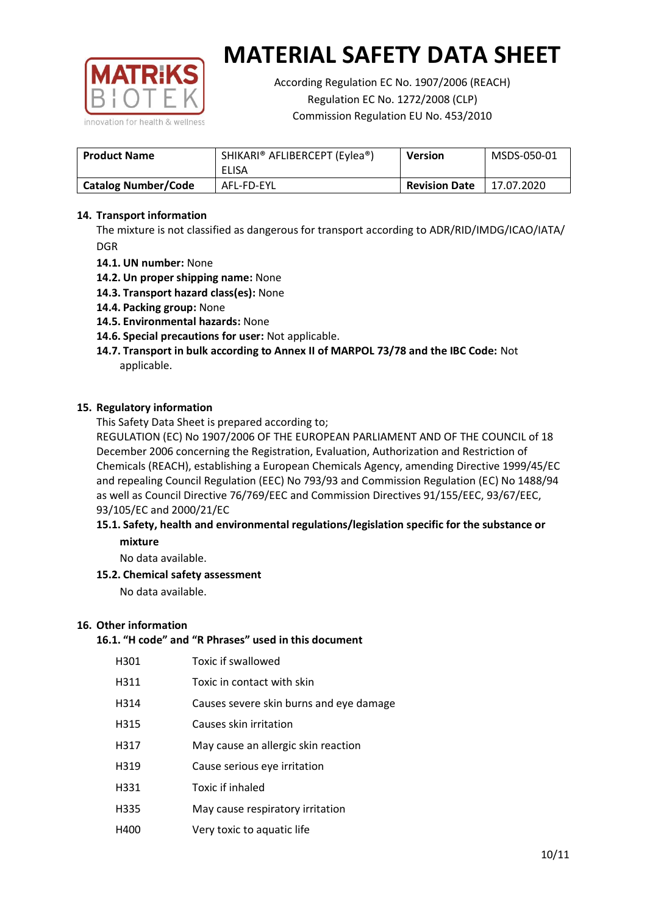

According Regulation EC No. 1907/2006 (REACH) Regulation EC No. 1272/2008 (CLP) Commission Regulation EU No. 453/2010

| <b>Product Name</b>        | SHIKARI® AFLIBERCEPT (Eylea®)<br>ELISA | <b>Version</b>       | MSDS-050-01 |
|----------------------------|----------------------------------------|----------------------|-------------|
| <b>Catalog Number/Code</b> | AFL-FD-EYL                             | <b>Revision Date</b> | 17.07.2020  |

## **14. Transport information**

The mixture is not classified as dangerous for transport according to ADR/RID/IMDG/ICAO/IATA/ DGR

- **14.1. UN number:** None
- **14.2. Un proper shipping name:** None
- **14.3. Transport hazard class(es):** None
- **14.4. Packing group:** None
- **14.5. Environmental hazards:** None
- **14.6. Special precautions for user:** Not applicable.
- **14.7. Transport in bulk according to Annex II of MARPOL 73/78 and the IBC Code:** Not applicable.

#### **15. Regulatory information**

This Safety Data Sheet is prepared according to;

REGULATION (EC) No 1907/2006 OF THE EUROPEAN PARLIAMENT AND OF THE COUNCIL of 18 December 2006 concerning the Registration, Evaluation, Authorization and Restriction of Chemicals (REACH), establishing a European Chemicals Agency, amending Directive 1999/45/EC and repealing Council Regulation (EEC) No 793/93 and Commission Regulation (EC) No 1488/94 as well as Council Directive 76/769/EEC and Commission Directives 91/155/EEC, 93/67/EEC, 93/105/EC and 2000/21/EC

## **15.1. Safety, health and environmental regulations/legislation specific for the substance or mixture**

No data available.

# **15.2. Chemical safety assessment**

No data available.

#### **16. Other information**

## **16.1. "H code" and "R Phrases" used in this document**

| H301 | Toxic if swallowed |
|------|--------------------|
|      |                    |

- H311 Toxic in contact with skin
- H314 Causes severe skin burns and eye damage
- H315 Causes skin irritation
- H317 May cause an allergic skin reaction
- H319 Cause serious eye irritation
- H331 Toxic if inhaled
- H335 May cause respiratory irritation
- H400 Very toxic to aquatic life